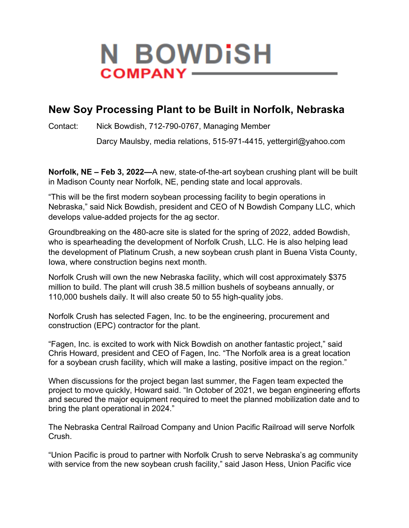

## **New Soy Processing Plant to be Built in Norfolk, Nebraska**

Contact: Nick Bowdish, 712-790-0767, Managing Member

Darcy Maulsby, media relations, 515-971-4415, yettergirl@yahoo.com

**Norfolk, NE – Feb 3, 2022—**A new, state-of-the-art soybean crushing plant will be built in Madison County near Norfolk, NE, pending state and local approvals.

"This will be the first modern soybean processing facility to begin operations in Nebraska," said Nick Bowdish, president and CEO of N Bowdish Company LLC, which develops value-added projects for the ag sector.

Groundbreaking on the 480-acre site is slated for the spring of 2022, added Bowdish, who is spearheading the development of Norfolk Crush, LLC. He is also helping lead the development of Platinum Crush, a new soybean crush plant in Buena Vista County, Iowa, where construction begins next month.

Norfolk Crush will own the new Nebraska facility, which will cost approximately \$375 million to build. The plant will crush 38.5 million bushels of soybeans annually, or 110,000 bushels daily. It will also create 50 to 55 high-quality jobs.

Norfolk Crush has selected Fagen, Inc. to be the engineering, procurement and construction (EPC) contractor for the plant.

"Fagen, Inc. is excited to work with Nick Bowdish on another fantastic project," said Chris Howard, president and CEO of Fagen, Inc. "The Norfolk area is a great location for a soybean crush facility, which will make a lasting, positive impact on the region."

When discussions for the project began last summer, the Fagen team expected the project to move quickly, Howard said. "In October of 2021, we began engineering efforts and secured the major equipment required to meet the planned mobilization date and to bring the plant operational in 2024."

The Nebraska Central Railroad Company and Union Pacific Railroad will serve Norfolk Crush.

"Union Pacific is proud to partner with Norfolk Crush to serve Nebraska's ag community with service from the new soybean crush facility," said Jason Hess, Union Pacific vice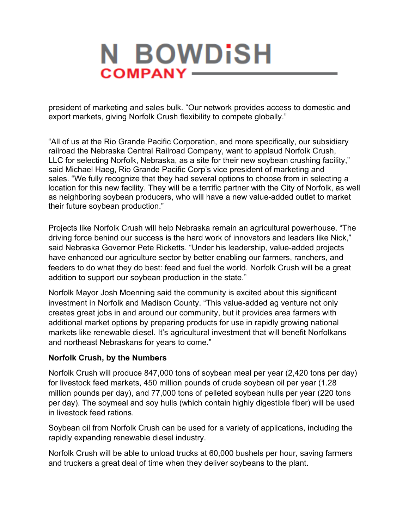

president of marketing and sales bulk. "Our network provides access to domestic and export markets, giving Norfolk Crush flexibility to compete globally."

"All of us at the Rio Grande Pacific Corporation, and more specifically, our subsidiary railroad the Nebraska Central Railroad Company, want to applaud Norfolk Crush, LLC for selecting Norfolk, Nebraska, as a site for their new soybean crushing facility," said Michael Haeg, Rio Grande Pacific Corp's vice president of marketing and sales. "We fully recognize that they had several options to choose from in selecting a location for this new facility. They will be a terrific partner with the City of Norfolk, as well as neighboring soybean producers, who will have a new value-added outlet to market their future soybean production."

Projects like Norfolk Crush will help Nebraska remain an agricultural powerhouse. "The driving force behind our success is the hard work of innovators and leaders like Nick," said Nebraska Governor Pete Ricketts. "Under his leadership, value-added projects have enhanced our agriculture sector by better enabling our farmers, ranchers, and feeders to do what they do best: feed and fuel the world. Norfolk Crush will be a great addition to support our soybean production in the state."

Norfolk Mayor Josh Moenning said the community is excited about this significant investment in Norfolk and Madison County. "This value-added ag venture not only creates great jobs in and around our community, but it provides area farmers with additional market options by preparing products for use in rapidly growing national markets like renewable diesel. It's agricultural investment that will benefit Norfolkans and northeast Nebraskans for years to come."

## **Norfolk Crush, by the Numbers**

Norfolk Crush will produce 847,000 tons of soybean meal per year (2,420 tons per day) for livestock feed markets, 450 million pounds of crude soybean oil per year (1.28 million pounds per day), and 77,000 tons of pelleted soybean hulls per year (220 tons per day). The soymeal and soy hulls (which contain highly digestible fiber) will be used in livestock feed rations.

Soybean oil from Norfolk Crush can be used for a variety of applications, including the rapidly expanding renewable diesel industry.

Norfolk Crush will be able to unload trucks at 60,000 bushels per hour, saving farmers and truckers a great deal of time when they deliver soybeans to the plant.